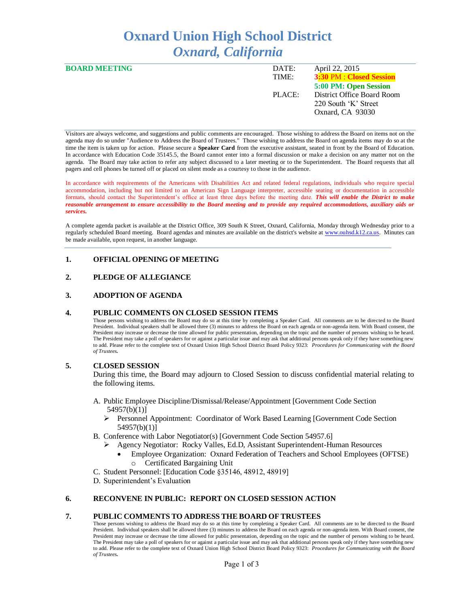# **Oxnard Union High School District** *Oxnard, California*

| <b>BOARD MEETING</b> | DATE:  | April 22, 2015                  |
|----------------------|--------|---------------------------------|
|                      | TIME:  | <b>3:30 PM : Closed Session</b> |
|                      |        | 5:00 PM: Open Session           |
|                      | PLACE: | District Office Board Room      |
|                      |        | 220 South 'K' Street            |
|                      |        | Oxnard, CA 93030                |
|                      |        |                                 |

Visitors are always welcome, and suggestions and public comments are encouraged. Those wishing to address the Board on items not on the agenda may do so under "Audience to Address the Board of Trustees." Those wishing to address the Board on agenda items may do so at the time the item is taken up for action. Please secure a **Speaker Card** from the executive assistant, seated in front by the Board of Education. In accordance with Education Code 35145.5, the Board cannot enter into a formal discussion or make a decision on any matter not on the agenda. The Board may take action to refer any subject discussed to a later meeting or to the Superintendent. The Board requests that all pagers and cell phones be turned off or placed on silent mode as a courtesy to those in the audience.

In accordance with requirements of the Americans with Disabilities Act and related federal regulations, individuals who require special accommodation, including but not limited to an American Sign Language interpreter, accessible seating or documentation in accessible formats, should contact the Superintendent's office at least three days before the meeting date. *This will enable the District to make reasonable arrangement to ensure accessibility to the Board meeting and to provide any required accommodations, auxiliary aids or services.* 

A complete agenda packet is available at the District Office, 309 South K Street, Oxnard, California, Monday through Wednesday prior to a regularly scheduled Board meeting. Board agendas and minutes are available on the district's website at [www.ouhsd.k12.ca.us.](http://www.ouhsd.k12.ca.us/)Minutes can be made available, upon request, in another language.

## **1. OFFICIAL OPENING OF MEETING**

## **2. PLEDGE OF ALLEGIANCE**

### **3. ADOPTION OF AGENDA**

#### **4. PUBLIC COMMENTS ON CLOSED SESSION ITEMS**

Those persons wishing to address the Board may do so at this time by completing a Speaker Card. All comments are to be directed to the Board President. Individual speakers shall be allowed three (3) minutes to address the Board on each agenda or non-agenda item. With Board consent, the President may increase or decrease the time allowed for public presentation, depending on the topic and the number of persons wishing to be heard. The President may take a poll of speakers for or against a particular issue and may ask that additional persons speak only if they have something new to add. Please refer to the complete text of Oxnard Union High School District Board Policy 9323: *Procedures for Communicating with the Board of Trustees.*

### **5. CLOSED SESSION**

During this time, the Board may adjourn to Closed Session to discuss confidential material relating to the following items.

- A. Public Employee Discipline/Dismissal/Release/Appointment [Government Code Section 54957(b)(1)]
	- Personnel Appointment: Coordinator of Work Based Learning [Government Code Section 54957(b)(1)]
- B. Conference with Labor Negotiator(s) [Government Code Section 54957.6]
	- Agency Negotiator: Rocky Valles, Ed.D, Assistant Superintendent-Human Resources
		- Employee Organization: Oxnard Federation of Teachers and School Employees (OFTSE) o Certificated Bargaining Unit
- C. Student Personnel: [Education Code §35146, 48912, 48919]
- D. Superintendent's Evaluation

## **6. RECONVENE IN PUBLIC: REPORT ON CLOSED SESSION ACTION**

#### **7. PUBLIC COMMENTS TO ADDRESS THE BOARD OF TRUSTEES**

Those persons wishing to address the Board may do so at this time by completing a Speaker Card. All comments are to be directed to the Board President. Individual speakers shall be allowed three (3) minutes to address the Board on each agenda or non-agenda item. With Board consent, the President may increase or decrease the time allowed for public presentation, depending on the topic and the number of persons wishing to be heard. The President may take a poll of speakers for or against a particular issue and may ask that additional persons speak only if they have something new to add. Please refer to the complete text of Oxnard Union High School District Board Policy 9323: *Procedures for Communicating with the Board of Trustees.*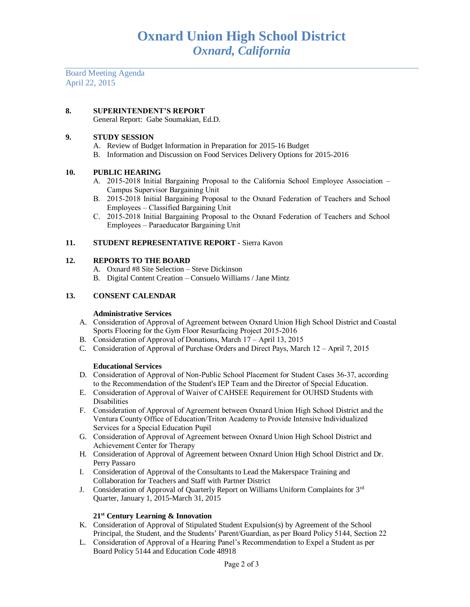Board Meeting Agenda April 22, 2015

# **8. SUPERINTENDENT'S REPORT**

General Report: Gabe Soumakian, Ed.D.

## **9. STUDY SESSION**

- A. Review of Budget Information in Preparation for 2015-16 Budget
- B. Information and Discussion on Food Services Delivery Options for 2015-2016

## **10. PUBLIC HEARING**

- A. 2015-2018 Initial Bargaining Proposal to the California School Employee Association Campus Supervisor Bargaining Unit
- B. 2015-2018 Initial Bargaining Proposal to the Oxnard Federation of Teachers and School Employees – Classified Bargaining Unit
- C. 2015-2018 Initial Bargaining Proposal to the Oxnard Federation of Teachers and School Employees – Paraeducator Bargaining Unit

## **11. STUDENT REPRESENTATIVE REPORT -** Sierra Kavon

## **12. REPORTS TO THE BOARD**

- A. Oxnard #8 Site Selection Steve Dickinson
- B. Digital Content Creation Consuelo Williams / Jane Mintz

## **13. CONSENT CALENDAR**

### **Administrative Services**

- A. Consideration of Approval of Agreement between Oxnard Union High School District and Coastal Sports Flooring for the Gym Floor Resurfacing Project 2015-2016
- B. Consideration of Approval of Donations, March 17 April 13, 2015
- C. Consideration of Approval of Purchase Orders and Direct Pays, March 12 April 7, 2015

### **Educational Services**

- D. Consideration of Approval of Non-Public School Placement for Student Cases 36-37, according to the Recommendation of the Student's IEP Team and the Director of Special Education.
- E. Consideration of Approval of Waiver of CAHSEE Requirement for OUHSD Students with Disabilities
- F. Consideration of Approval of Agreement between Oxnard Union High School District and the Ventura County Office of Education/Triton Academy to Provide Intensive Individualized Services for a Special Education Pupil
- G. Consideration of Approval of Agreement between Oxnard Union High School District and Achievement Center for Therapy
- H. Consideration of Approval of Agreement between Oxnard Union High School District and Dr. Perry Passaro
- I. Consideration of Approval of the Consultants to Lead the Makerspace Training and Collaboration for Teachers and Staff with Partner District
- J. Consideration of Approval of Quarterly Report on Williams Uniform Complaints for 3<sup>rd</sup> Quarter, January 1, 2015-March 31, 2015

### **21st Century Learning & Innovation**

- K. Consideration of Approval of Stipulated Student Expulsion(s) by Agreement of the School Principal, the Student, and the Students' Parent/Guardian, as per Board Policy 5144, Section 22
- L. Consideration of Approval of a Hearing Panel's Recommendation to Expel a Student as per Board Policy 5144 and Education Code 48918